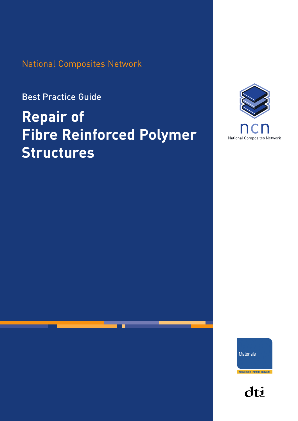National Composites Network

Best Practice Guide

# **Repair of Fibre Reinforced Polymer Structures**



**Materials** 

**Knowledge Transfer Network** 

dti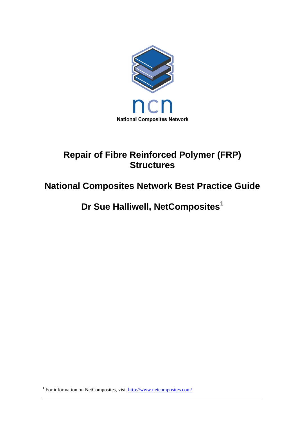

## **Repair of Fibre Reinforced Polymer (FRP) Structures**

## **National Composites Network Best Practice Guide**

**Dr Sue Halliwell, NetComposites[1](#page-1-0)**

<span id="page-1-0"></span> $\overline{a}$ <sup>1</sup> For information on NetComposites, visit <http://www.netcomposites.com/>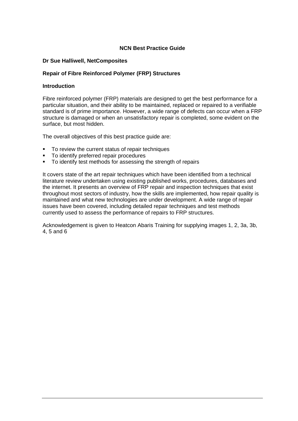#### **NCN Best Practice Guide**

#### **Dr Sue Halliwell, NetComposites**

#### **Repair of Fibre Reinforced Polymer (FRP) Structures**

#### **Introduction**

Fibre reinforced polymer (FRP) materials are designed to get the best performance for a particular situation, and their ability to be maintained, replaced or repaired to a verifiable standard is of prime importance. However, a wide range of defects can occur when a FRP structure is damaged or when an unsatisfactory repair is completed, some evident on the surface, but most hidden.

The overall objectives of this best practice guide are:

- To review the current status of repair techniques
- **To identify preferred repair procedures**
- To identify test methods for assessing the strength of repairs

It covers state of the art repair techniques which have been identified from a technical literature review undertaken using existing published works, procedures, databases and the internet. It presents an overview of FRP repair and inspection techniques that exist throughout most sectors of industry, how the skills are implemented, how repair quality is maintained and what new technologies are under development. A wide range of repair issues have been covered, including detailed repair techniques and test methods currently used to assess the performance of repairs to FRP structures.

Acknowledgement is given to Heatcon Abaris Training for supplying images 1, 2, 3a, 3b, 4, 5 and 6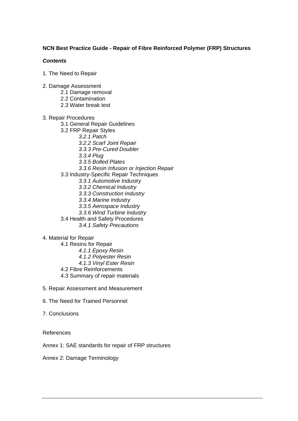#### **NCN Best Practice Guide - Repair of Fibre Reinforced Polymer (FRP) Structures**

#### *Contents*

- 1. The Need to Repair
- 2. Damage Assessment
	- 2.1 Damage removal
	- 2.2 Contamination
	- 2.3 Water break test
- 3. Repair Procedures
	- 3.1 General Repair Guidelines
	- 3.2 FRP Repair Styles
		- *3.2.1 Patch* 
			- *3.2.2 Scarf Joint Repair*
			- *3.3.3 Pre-Cured Doubler*
			- *3.3.4 Plug*
			- *3.3.5 Bolted Plates*
		- *3.3.6 Resin Infusion or Injection Repair*
	- 3.3 Industry-Specific Repair Techniques
		- *3.3.1 Automotive Industry*
		- *3.3.2 Chemical Industry*
		- *3.3.3 Construction Industry*
		- *3.3.4 Marine Industry*
		- *3.3.5 Aerospace Industry*
		- *3.3.6 Wind Turbine Industry*
	- 3.4 Health and Safety Procedures
		- *3.4.1 Safety Precautions*

4. Material for Repair

- 4.1 Resins for Repair *4.1.1 Epoxy Resin 4.1.2 Polyester Resin 4.1.3 Vinyl Ester Resin*  4.2 Fibre Reinforcements 4.3 Summary of repair materials
- 5. Repair Assessment and Measurement
- 6. The Need for Trained Personnel
- 7. Conclusions

#### References

Annex 1: SAE standards for repair of FRP structures

Annex 2: Damage Terminology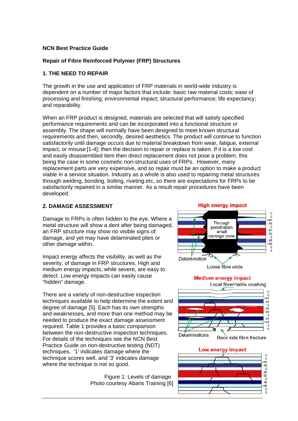#### **NCN Best Practice Guide**

#### **Repair of Fibre Reinforced Polymer (FRP) Structures**

#### **1. THE NEED TO REPAIR**

The growth in the use and application of FRP materials in world-wide industry is dependent on a number of major factors that include: basic raw material costs; ease of processing and finishing; environmental impact; structural performance; life expectancy; and reparability.

When an FRP product is designed, materials are selected that will satisfy specified performance requirements and can be incorporated into a functional structure or assembly. The shape will normally have been designed to meet known structural requirements and then, secondly, desired aesthetics. The product will continue to function satisfactorily until damage occurs due to material breakdown from wear, fatigue, external impact, or misuse [1-4]; then the decision to repair or replace is taken. If it is a low cost and easily disassembled item then direct replacement does not pose a problem, this being the case in some cosmetic non-structural uses of FRPs. However, many replacement parts are very expensive, and so repair must be an option to make a product viable in a service situation. Industry as a whole is also used to repairing metal structures through welding, bonding, bolting, riveting.etc, so there are expectations for FRPs to be satisfactorily repaired in a similar manner. As a result repair procedures have been developed.

#### **2. DAMAGE ASSESSMENT**

Damage to FRPs is often hidden to the eye. Where a metal structure will show a dent after being d amaged, an FRP structure may show no visible signs of damage, and yet may have delaminated plies or other damage within.

Impact energy affects the visibility, as well as the severity, of damage in FRP structures. High and medium energy impacts, while severe, are easy to detect. Low energy impacts can easily cause "hidden" damage.

techniques available to help determine the extent and degree of damage [5]. Each has its own strengths and weaknesses, and more than one method may be needed to produce the exact damage assessment between the non-destructive inspection techniques. There are a variety of non-destructive inspection required. Table 1 provides a basic comparison For details of the techniques see the NCN Best Practice Guide on non-destructive testing (NDT) techniques. '1' indicates damage where the technique scores well, and '3' indicates damage where the technique is not so good.

**Figure 1: Levels of damage** Photo courtesy Abaris Training [6]

#### **High energy impact**  $\overline{0}$  $-45$ <br> $-45$ Through penetration  $\Omega$ small 90 damage zone  $\frac{0}{45}$  $+45$  $\tilde{0}$  $\Omega$ ⋗⋷ Delamination Loose fibre ends



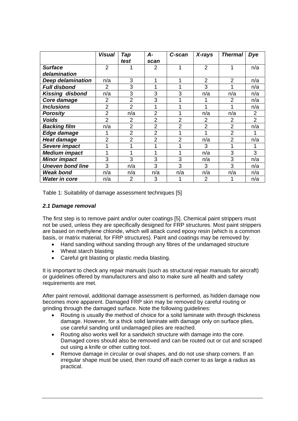|                          | <b>Visual</b>  | Tap            | А-             | C-scan         | X-rays         | <b>Thermal</b> | <b>Dye</b>     |
|--------------------------|----------------|----------------|----------------|----------------|----------------|----------------|----------------|
|                          |                | test           | scan           |                |                |                |                |
| <b>Surface</b>           | 2              |                | 2              | 4              | $\overline{2}$ |                | n/a            |
| delamination             |                |                |                |                |                |                |                |
| <b>Deep delamination</b> | n/a            | 3              | 1              | 1              | $\overline{2}$ | 2              | n/a            |
| <b>Full disbond</b>      | $\overline{2}$ | 3              | 1              |                | 3              |                | n/a            |
| <b>Kissing disbond</b>   | n/a            | 3              | 3              | 3              | n/a            | n/a            | n/a            |
| Core damage              | 2              | $\overline{2}$ | 3              |                |                | 2              | n/a            |
| <b>Inclusions</b>        | $\overline{2}$ | $\overline{2}$ | 1              | 4              |                |                | n/a            |
| <b>Porosity</b>          | $\overline{2}$ | n/a            | $\overline{2}$ | 4              | n/a            | n/a            | $\overline{2}$ |
| <b>Voids</b>             | $\overline{2}$ | $\overline{2}$ | $\overline{2}$ | $\overline{2}$ | 2              | 2              | $\overline{2}$ |
| <b>Backing film</b>      | n/a            | $\overline{2}$ | $\overline{2}$ | $\overline{2}$ | $\overline{2}$ | 2              | n/a            |
| Edge damage              |                | $\overline{2}$ | $\overline{2}$ | 1              |                | $\overline{2}$ |                |
| <b>Heat damage</b>       | $\overline{2}$ | $\overline{2}$ | $\overline{2}$ | $\overline{2}$ | n/a            | $\overline{2}$ | n/a            |
| Severe impact            |                |                |                | 4              | 3              |                |                |
| <b>Medium impact</b>     | 1              |                | 1              | 1              | n/a            | 3              | 3              |
| <b>Minor impact</b>      | 3              | 3              | 3              | 3              | n/a            | 3              | n/a            |
| <b>Uneven bond line</b>  | 3              | n/a            | 3              | 3              | 3              | 3              | n/a            |
| <b>Weak bond</b>         | n/a            | n/a            | n/a            | n/a            | n/a            | n/a            | n/a            |
| <b>Water in core</b>     | n/a            | $\overline{2}$ | 3              |                | $\mathfrak{p}$ |                | n/a            |

Table 1: Suitability of damage assessment techniques [5]

#### *2.1 Damage removal*

The first step is to remove paint and/or outer coatings [5]. Chemical paint strippers must not be used, unless they are specifically designed for FRP structures. Most paint strippers are based on methylene chloride, which will attack cured epoxy resin (which is a common basis, or matrix material, for FRP structures). Paint and coatings may be removed by:

- Hand sanding without sanding through any fibres of the undamaged structure
- Wheat starch blasting
- Careful grit blasting or plastic media blasting.

It is important to check any repair manuals (such as structural repair manuals for aircraft) or guidelines offered by manufacturers and also to make sure all health and safety requirements are met.

After paint removal, additional damage assessment is performed, as hidden damage now becomes more apparent. Damaged FRP skin may be removed by careful routing or grinding through the damaged surface. Note the following guidelines:

- Routing is usually the method of choice for a solid laminate with through thickness damage. However, for a thick solid laminate with damage only on surface plies, use careful sanding until undamaged plies are reached.
- Routing also works well for a sandwich structure with damage into the core. Damaged cores should also be removed and can be routed out or cut and scraped out using a knife or other cutting tool.
- Remove damage in circular or oval shapes, and do not use sharp corners. If an irregular shape must be used, then round off each corner to as large a radius as practical.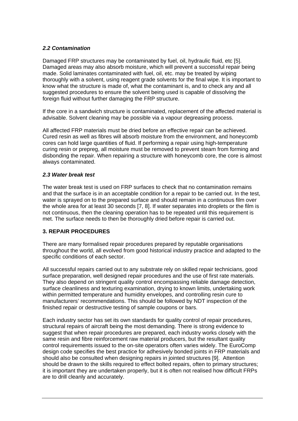#### *2.2 Contamination*

Damaged FRP structures may be contaminated by fuel, oil, hydraulic fluid, etc [5]. Damaged areas may also absorb moisture, which will prevent a successful repair being thoroughly with a solvent, using reagent grade solvents for the final wipe. It is important to made. Solid laminates contaminated with fuel, oil, etc. may be treated by wiping know what the structure is made of, what the contaminant is, and to check any and all suggested procedures to ensure the solvent being used is capable of dissolving the foreign fluid without further damaging the FRP structure.

If the core in a sandwich structure is contaminated, replacement of the affected material is advisable. Solvent cleaning may be possible via a vapour degreasing process.

All affected FRP materials must be dried before an effective repair can be achieved. Cured resin as well as fibres will absorb moisture from the environment, and honeycomb curing resin or prepreg, all moisture must be removed to prevent steam from forming and cores can hold large quantities of fluid. If performing a repair using high-temperature disbonding the repair. When repairing a structure with honeycomb core, the core is almost always contaminated.

#### *.3 Water break test 2*

The water break test is used on FRP surfaces to check that no contamination remains and that the surface is in an acceptable condition for a repair to be carried out. In the test, water is sprayed on to the prepared surface and should remain in a continuous film over the whole area for at least 30 seconds [7, 8]. If water separates into droplets or the film is not continuous, then the cleaning operation has to be repeated until this requirement is met. The surface needs to then be thoroughly dried before repair is carried out.

#### **. REPAIR PROCEDURES 3**

here are many formalised repair procedures prepared by reputable organisations T throughout the world, all evolved from good historical industry practice and adapted to the specific conditions of each sector.

All successful repairs carried out to any substrate rely on skilled repair technicians, good surface preparation, well designed repair procedures and the use of first rate materials. They also depend on stringent quality control encompassing reliable damage detection, surface cleanliness and texturing examination, drying to known limits, undertaking work within permitted temperature and humidity envelopes, and controlling resin cure to manufacturers' recommendations. This should be followed by NDT inspection of the finished repair or destructive testing of sample coupons or bars.

Each industry sector has set its own standards for quality control of repair procedures, suggest that when repair procedures are prepared, each industry works closely with the control requirements issued to the on-site operators often varies widely. The EuroComp should be drawn to the skills required to effect bolted repairs, often to primary structures; structural repairs of aircraft being the most demanding. There is strong evidence to same resin and fibre reinforcement raw material producers, but the resultant quality design code specifies the best practice for adhesively bonded joints in FRP materials and should also be consulted when designing repairs in jointed structures [9]. Attention it is important they are undertaken properly, but it is often not realised how difficult FRPs are to drill cleanly and accurately.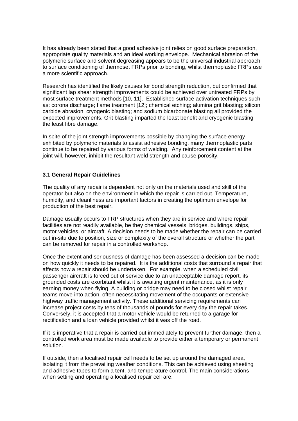It has already been stated that a good adhesive joint relies on good surface preparation, appropriate quality materials and an ideal working envelope. Mechanical abrasion of the polymeric surface and solvent degreasing appears to be the universal industrial approach to surface conditioning of thermoset FRPs prior to bonding, whilst thermoplastic FRPs use a more scientific approach.

Research has identified the likely causes for bond strength reduction, but confirmed that most surface treatment methods [10, 11]. Established surface activation techniques such significant lap shear strength improvements could be achieved over untreated FRPs by as: corona discharge; flame treatment [12]; chemical etching; alumina grit blasting; silicon carbide abrasion; cryogenic blasting; and sodium bicarbonate blasting all provided the expected improvements. Grit blasting imparted the least benefit and cryogenic blasting the least fibre damage.

In spite of the joint strength improvements possible by changing the surface energy exhibited by polymeric materials to assist adhesive bonding, many thermoplastic parts continue to be repaired by various forms of welding. Any reinforcement content at the joint will, however, inhibit the resultant weld strength and cause porosity.

#### **.1 General Repair Guidelines 3**

The quality of any repair is dependent not only on the materials used and skill of the operator but also on the environment in which the repair is carried out. Temperature, humidity, and cleanliness are important factors in creating the optimum envelope for production of the best repair.

Damage usually occurs to FRP structures when they are in service and where repair motor vehicles, or aircraft. A decision needs to be made whether the repair can be carried facilities are not readily available, be they chemical vessels, bridges, buildings, ships, out in-situ due to position, size or complexity of the overall structure or whether the part can be removed for repair in a controlled workshop.

Once the extent and seriousness of damage has been assessed a decision can be made passenger aircraft is forced out of service due to an unacceptable damage report, its increase project costs by tens of thousands of pounds for every day the repair takes. on how quickly it needs to be repaired. It is the additional costs that surround a repair that affects how a repair should be undertaken. For example, when a scheduled civil grounded costs are exorbitant whilst it is awaiting urgent maintenance, as it is only earning money when flying. A building or bridge may need to be closed whilst repair teams move into action, often necessitating movement of the occupants or extensive highway traffic management activity. These additional servicing requirements can Conversely, it is accepted that a motor vehicle would be returned to a garage for rectification and a loan vehicle provided whilst it was off the road.

If it is imperative that a repair is carried out immediately to prevent further damage, then a controlled work area must be made available to provide either a temporary or permanent solution.

If outside, then a localised repair cell needs to be set up around the damaged area, isolating it from the prevailing weather conditions. This can be achieved using sheeting and adhesive tapes to form a tent, and temperature control. The main considerations when setting and operating a localised repair cell are: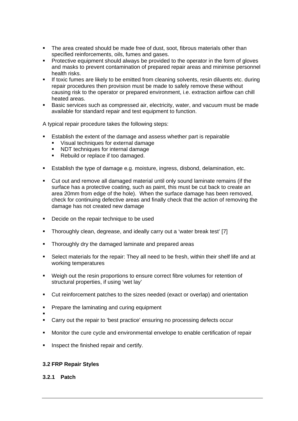- The area created should be made free of dust, soot, fibrous materials other than specified reinforcements, oils, fumes and gases.
- **Protective equipment should always be provided to the operator in the form of gloves** and masks to prevent contamination of prepared repair areas and minimise personnel health risks.
- If toxic fumes are likely to be emitted from cleaning solvents, resin diluents etc. during repair procedures then provision must be made to safely remove these without causing risk to the operator or prepared environment, i.e. extraction airflow can chill heated areas.
- Basic services such as compressed air, electricity, water, and vacuum must be made available for standard repair and test equipment to function.

A typical repair procedure takes the following steps:

- Establish the extent of the damage and assess whether part is repairable
	- Visual techniques for external damage
	- NDT techniques for internal damage
	- Rebuild or replace if too damaged.
- Establish the type of damage e.g. moisture, ingress, disbond, delamination, etc.
- Cut out and remove all damaged material until only sound laminate remains (if the surface has a protective coating, such as paint, this must be cut back to create an area 20mm from edge of the hole). When the surface damage has been removed, check for continuing defective areas and finally check that the action of removing the damage has not created new damage
- **Decide on the repair technique to be used**
- Thoroughly clean, degrease, and ideally carry out a 'water break test' [7]
- Thoroughly dry the damaged laminate and prepared areas
- Select materials for the repair: They all need to be fresh, within their shelf life and at working temperatures
- **•** Weigh out the resin proportions to ensure correct fibre volumes for retention of structural properties, if using 'wet lay'
- Cut reinforcement patches to the sizes needed (exact or overlap) and orientation
- Prepare the laminating and curing equipment
- ٠
- Carry out the repair to 'best practice' ensuring no processing defects occur
- Monitor the cure cycle and environmental envelope to enable certification of repair
- Inspect the finished repair and certify.

#### **3.2 FRP Repair Styles**

#### **3.2.1 Patch**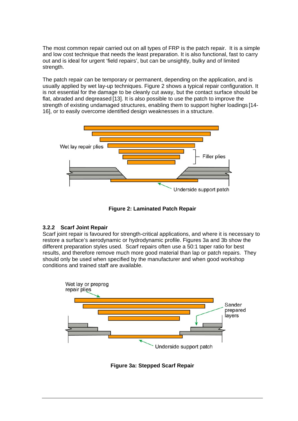The most common repair carried out on all types of FRP is the patch repair. It is a simple and low cost technique that needs the least preparation. It is also functional, fast to carry out and is ideal for urgent 'field repairs', but can be unsightly, bulky and of limited strength.

The patch repair can be temporary or permanent, depending on the application, and is usually applied by wet lay-up techniques. Figure 2 shows a typical repair configuration. It is not essential for the damage to be cleanly cut away, but the contact surface should be flat, abraded and degreased [13]. It is also possible to use the patch to improve the strength of existing undamaged structures, enabling them to support higher loadings [14- 16], or to easily overcome identified design weaknesses in a structure.



**Figure 2: Laminated Patch Repair** 

#### **3.2.2 Scarf Joint Repair**

Scarf joint repair is favoured for strength-critical applications, and where it is necessary to restore a surface's aerodynamic or hydrodynamic profile. Figures 3a and 3b show the different preparation styles used. Scarf repairs often use a 50:1 taper ratio for best results, and therefore remove much more good material than lap or patch repairs. They should only be used when specified by the manufacturer and when good workshop conditions and trained staff are available.



**Figure 3a: Stepped Scarf Repair**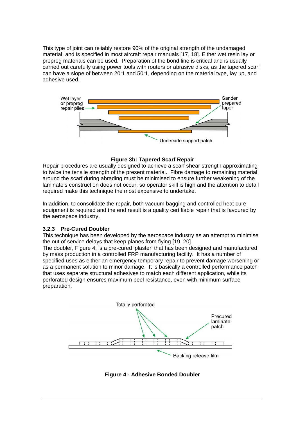This type of joint can reliably restore 90% of the original strength of the undamaged material, and is specified in most aircraft repair manuals [17, 18]. Either wet resin lay or prepreg materials can be used. Preparation of the bond line is critical and is usually carried out carefully using power tools with routers or abrasive disks, as the tapered scarf can have a slope of between 20:1 and 50:1, depending on the material type, lay up, and adhesive used.



#### **Figure 3b: Tapered Scarf Repair**

Repair procedures are usually designed to achieve a scarf shear strength approximating laminate's construction does not occur, so operator skill is high and the attention to detail to twice the tensile strength of the present material. Fibre damage to remaining material around the scarf during abrading must be minimised to ensure further weakening of the required make this technique the most expensive to undertake.

In addition, to consolidate the repair, both vacuum bagging and controlled heat cure equipment is required and the end result is a quality certifiable repair that is favoured by the aerospace industry.

#### **.2.3 Pre-Cured Doubler 3**

This technique has been developed by the aerospace industry as an attempt to minimise the out of service delays that keep planes from flying [19, 20].

The doubler, Figure 4, is a pre-cured 'plaster' that has been designed and manufactured specified uses as either an emergency temporary repair to prevent damage worsening or by mass production in a controlled FRP manufacturing facility. It has a number of as a permanent solution to minor damage. It is basically a controlled performance patch that uses separate structural adhesives to match each different application, while its perforated design ensures maximum peel resistance, even with minimum surface preparation.



**Figure 4 - Adhesive Bonded Doubler**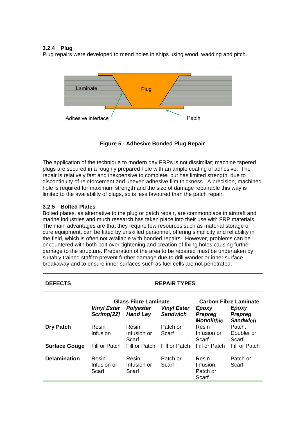#### **3.2.4 Plug**

Plug repairs were developed to mend holes in ships using wood, wadding and pitch.



**Figure 5 - Adhesive Bonded Plug Repair** 

The application of the technique to modern day FRPs is not dissimilar; machine tapered plugs are secured in a roughly prepared hole with an ample coating of adhesive. The discontinuity of reinforcement and uneven adhesive film thickness. A precision, machined repair is relatively fast and inexpensive to complete, but has limited strength, due to hole is required for maximum strength and the size of damage repairable this way is limited to the availability of plugs, so is less favoured than the patch repair.

## **3.2.5 Bolted Plates**

Bolted plates, as alternative to the plug or patch repair, are commonplace in aircraft and marine industries and much research has taken place into their use with FRP materials. The main advantages are that they require few resources such as material storage or cure equipment, can be fitted by unskilled personnel, offering simplicity and reliability in the field, which is often not available with bonded repairs. However, problems can be encountered with both bolt over-tightening and creation of fixing holes causing further damage to the structure. Preparation of the area to be repaired must be undertaken by suitably trained staff to prevent further damage due to drill wander or inner surface breakaway and to ensure inner surfaces such as fuel cells are not penetrated.

#### **DEFECTS REPAIR TYPES**

|                      | <b>Vinyl Ester</b><br>Scrimp[22] | <b>Glass Fibre Laminate</b><br><b>Polyester</b><br><b>Hand Lay</b> | <b>Vinyl Ester</b><br><b>Sandwich</b> | <b>Carbon Fibre Laminate</b><br>Epoxy<br>Epoxy<br><b>Prepreg</b><br><b>Prepreg</b><br><b>Sandwich</b><br><b>Monolithic</b> |                               |  |
|----------------------|----------------------------------|--------------------------------------------------------------------|---------------------------------------|----------------------------------------------------------------------------------------------------------------------------|-------------------------------|--|
| <b>Dry Patch</b>     | Resin<br>Infusion                | Resin<br>Infusion or<br>Scarf                                      | Patch or<br>Scarf                     | Resin<br>Infusion or<br>Scarf                                                                                              | Patch,<br>Doubler or<br>Scarf |  |
| <b>Surface Gouge</b> | Fill or Patch                    | Fill or Patch                                                      | Fill or Patch                         | Fill or Patch                                                                                                              | Fill or Patch                 |  |
| <b>Delamination</b>  | Resin<br>Infusion or<br>Scarf    | Resin<br>Infusion or<br>Scarf                                      | Patch or<br>Scarf                     | Resin<br>Infusion,<br>Patch or<br>Scarf                                                                                    | Patch or<br>Scarf             |  |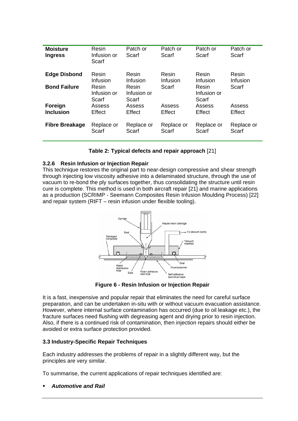| <b>Moisture</b><br><b>Ingress</b> | Resin<br>Infusion or<br>Scarf | Patch or<br>Scarf             | Patch or<br>Scarf | Patch or<br>Scarf             | Patch or<br>Scarf |
|-----------------------------------|-------------------------------|-------------------------------|-------------------|-------------------------------|-------------------|
| <b>Edge Disbond</b>               | Resin                         | Resin                         | Resin             | Resin                         | Resin             |
|                                   | Infusion                      | Infusion                      | Infusion          | Infusion                      | Infusion          |
| <b>Bond Failure</b>               | Resin<br>Infusion or<br>Scarf | Resin<br>Infusion or<br>Scarf | Scarf             | Resin<br>Infusion or<br>Scarf | Scarf             |
| Foreign                           | Assess                        | Assess                        | Assess            | Assess                        | Assess            |
| <b>Inclusion</b>                  | Effect                        | Effect                        | Effect            | Effect                        | Effect            |
| <b>Fibre Breakage</b>             | Replace or                    | Replace or                    | Replace or        | Replace or                    | Replace or        |
|                                   | Scarf                         | Scarf                         | Scarf             | Scarf                         | Scarf             |

| Table 2: Typical defects and repair approach [21] |  |  |
|---------------------------------------------------|--|--|
|                                                   |  |  |

## **3.2.6 Resin Infusion or Injection Repair**

This technique restores the original part to near-design compressive and shear strength through injecting low viscosity adhesive into a delaminated structure, through the use of vacuum to re-bond the ply surfaces together, thus consolidating the structure until resin cure is complete. This method is used in both aircraft repair [21] and marine applications as a production (SCRIMP - Seemann Composites Resin Infusion Moulding Process) [22] and repair system (RIFT – resin infusion under flexible tooling).



**Figure 6 - Resin Infusion or Injection Repair** 

It is a fast, inexpensive and popular repair that eliminates the need for careful surface preparation, and can be undertaken in-situ with or without vacuum evacuation assistance. However, where internal surface contamination has occurred (due to oil leakage etc.), the fracture surfaces need flushing with degreasing agent and drying prior to resin injection. Also, if there is a continued risk of contamination, then injection repairs should either be avoided or extra surface protection provided.

#### **3.3 Industry-Specific Repair Techniques**

Each industry addresses the problems of repair in a slightly different way, but the principles are very similar.

To summarise, the current applications of repair techniques identified are:

*Automotive and Rail*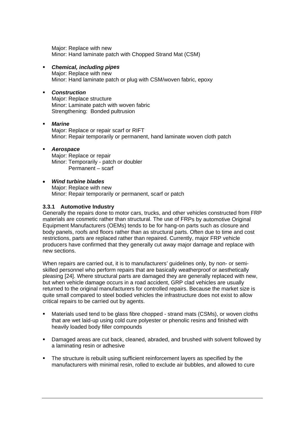Major: Replace with new Minor: Hand laminate patch with Chopped Strand Mat (CSM)

#### **Example** *Chemical, including pipes*

Minor: Hand laminate patch or plug with CSM/woven fabric, epoxy Major: Replace with new

#### *Construction*

Strengthening: Bonded pultrusion Major: Replace structure Minor: Laminate patch with woven fabric

#### $\blacksquare$ *Marine*

Minor: Repair temporarily or permanent, hand laminate woven cloth patch Major: Replace or repair scarf or RIFT

#### *Aerospace*

 Permanent – scarf Major: Replace or repair Minor: Temporarily - patch or doubler

#### • *Wind turbine blades*

Minor: Repair temporarily or permanent, scarf or patch Major: Replace with new

#### **try 3.3.1 Automotive Indus**

Generally the repairs done to motor cars, trucks, and other vehicles constructed from FRP materials are cosmetic rather than structural. The use of FRPs by automotive Original Equipment Manufacturers (OEMs) tends to be for hang-on parts such as closure and body panels, roofs and floors rather than as structural parts. Often due to time and cost restrictions, parts are replaced rather than repaired. Currently, major FRP vehicle producers have confirmed that they generally cut away major damage and replace with new sections.

When repairs are carried out, it is to manufacturers' guidelines only, by non- or semipleasing [24]. Where structural parts are damaged they are generally replaced with new, but when vehicle damage occurs in a road accident, GRP clad vehicles are usually returned to the original manufacturers for controlled repairs. Because the market size is skilled personnel who perform repairs that are basically weatherproof or aesthetically quite small compared to steel bodied vehicles the infrastructure does not exist to allow critical repairs to be carried out by agents.

- Materials used tend to be glass fibre chopped strand mats (CSMs), or woven cloths that are wet laid-up using cold cure polyester or phenolic resins and finished with heavily loaded body filler compounds
- Damaged areas are cut back, cleaned, abraded, and brushed with solvent followed by a laminating resin or adhesive
- The structure is rebuilt using sufficient reinforcement layers as specified by the  $\blacksquare$ manufacturers with minimal resin, rolled to exclude air bubbles, and allowed to cure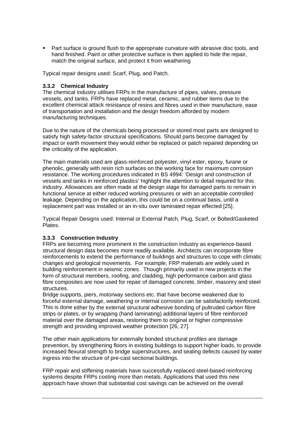**Part surface is ground flush to the appropriate curvature with abrasive disc tools, and** hand finished. Paint or other protective surface is then applied to hide the repair, match the original surface, and protect it from weathering

Typical repair designs used: Scarf, Plug, and Patch.

#### **.3.2 Chemical Industry 3**

The chemical industry utilises FRPs in the manufacture of pipes, valves, pressure vessels, and tanks. FRPs have replaced metal, ceramic, and rubber items due to the excellent chemical attack resistance of resins and fibres used in their manufacture, ease of transportation and installation and the design freedom afforded by modern manufacturing techniques.

Due to the nature of the chemicals being processed or stored most parts are designed to satisfy high safety-factor structural specifications. Should parts become damaged by impact or earth movement they would either be replaced or patch repaired depending on the criticality of the application.

phenolic, generally with resin rich surfaces on the working face for maximum corrosion resistance. The working procedures indicated in BS 4994: 'Design and construction of vessels and tanks in reinforced plastics' highlight the attention to detail required for this The main materials used are glass-reinforced polyester, vinyl ester, epoxy, furane or industry. Allowances are often made at the design stage for damaged parts to remain in functional service at either reduced working pressures or with an acceptable controlled leakage. Depending on the application, this could be on a continual basis, until a replacement part was installed or an in-situ over laminated repair effected [25].

Typical Repair Designs used: Internal or External Patch, Plug, Scarf, or Bolted/Gasketed Plates.

#### **3.3.3 Construction Industry**

FRPs are becoming more prominent in the construction industry as experience-based structural design data becomes more readily available. Architects can incorporate fibre reinforcements to extend the performance of buildings and structures to cope with climatic fibre composites are now used for repair of damaged concrete, timber, masonry and steel changes and geological movements. For example, FRP materials are widely used in building reinforcement in seismic zones. Though primarily used in new projects in the form of structural members, roofing, and cladding, high performance carbon and glass structures.

This is done either by the external structural adhesive bonding of pultruded carbon fibre Bridge supports, piers, motorway sections etc. that have become weakened due to forceful external damage, weathering or internal corrosion can be satisfactorily reinforced. strips or plates, or by wrapping (hand laminating) additional layers of fibre reinforced material over the damaged areas, restoring them to original or higher compressive strength and providing improved weather protection [26, 27].

prevention, by strengthening floors in existing buildings to support higher loads, to provide increased flexural strength to bridge superstructures, and sealing defects caused by water The other main applications for externally bonded structural profiles are damage ingress into the structure of pre-cast sectional buildings.

systems despite FRPs costing more than metals. Applications that used this new approach have shown that substantial cost savings can be achieved on the overall FRP repair and stiffening materials have successfully replaced steel-based reinforcing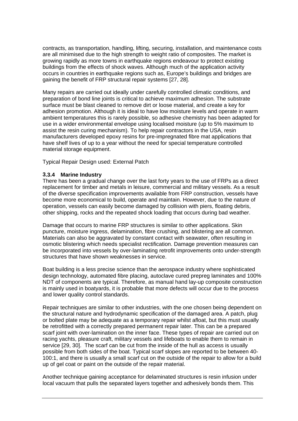contracts, as transportation, handling, lifting, securing, installation, and maintenance co sts are all minimised due to the high strength to weight ratio of composites. The marke t is growing rapidly as more towns in earthquake regions endeavour to protect existing buildings from the effects of shock waves. Although much of the application activity occurs in countries in earthquake regions such as, Europe's buildings and bridges are gaining the benefit of FRP structural repair systems [27, 28].

Many repairs are carried out ideally under carefully controlled climatic conditions, and preparation of bond line joints is critical to achieve maximum adhesion. T he substrate surface must be blast cleaned to remove dirt or loose material, and create a key for adhesion promotion. Although it is ideal to have low moisture levels and operate in warm use in a wider environmental envelope using localised moisture (up to 5% maximum to ambient temperatures this is rarely possible, so adhesive chemistry has been adapted for assist the resin curing mechanism). To help repair contractors in the USA, resin manufacturers developed epoxy resins for pre-impregnated fibre mat applications that have shelf lives of up to a year without the need for special temperature controlled material storage equipment.

Typical Repair Design used: External Patch

#### **.3.4 Marine Industry 3**

There has been a gradual change over the last forty years to the use of FRPs as a direct replacement for timber and metals in leisure, commercial and military vessels. As a result of the diverse specification improvements available from FRP construction, vessels have become more economical to build, operate and maintain. However, due to the nature of operation, vessels can easily become damaged by collision with piers, floating debris, other shipping, rocks and the repeated shock loading that occurs during bad weather.

 puncture, moisture ingress, delamination, fibre crushing, and blistering are all common. Materials can also be aggravated by constant contact with seawater, often resulting in osmotic blistering which needs specialist rectification. Damage prevention measures can Damage that occurs to marine FRP structures is similar to other applications. Skin be incorporated into vessels by over-laminating retrofit improvements onto under-strength structures that have shown weaknesses in service.

design technology, automated fibre placing, autoclave cured prepreg laminates and 100% NDT of components are typical. Therefore, as manual hand lay-up composite construction Boat building is a less precise science than the aerospace industry where sophisticated is mainly used in boatyards, it is probable that more defects will occur due to the process and lower quality control standards.

the structural nature and hydrodynamic specification of the damaged area. A patch, plug or bolted plate may be adequate as a temporary repair whilst afloat, but this must usually 100:1, and there is usually a small scarf cut on the outside of the repair to allow for a build Repair techniques are similar to other industries, with the one chosen being dependent on be retrofitted with a correctly prepared permanent repair later. This can be a prepared scarf joint with over-lamination on the inner face. These types of repair are carried out on racing yachts, pleasure craft, military vessels and lifeboats to enable them to remain in service [29, 30]. The scarf can be cut from the inside of the hull as access is usually possible from both sides of the boat. Typical scarf slopes are reported to be between 40 up of gel coat or paint on the outside of the repair material.

local vacuum that pulls the separated layers together and adhesively bonds them. This Another technique gaining acceptance for delaminated structures is resin infusion under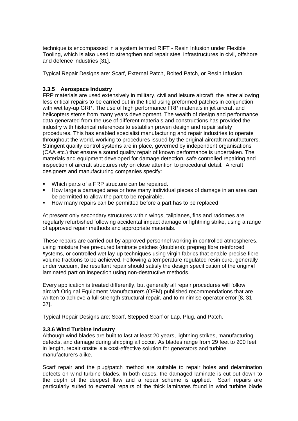technique is encompassed in a system termed RIFT - Resin Infusion under Flexible Tooling, which is also used to strengthen and repair steel infrastructures in civil, offshore and defence industries [31].

Typical Repair Designs are: Scarf, External Patch, Bolted Patch, or Resin Infusion.

#### **3.3.5 Aerospace Industry**

FRP materials are used extensively in military, civil and leisure aircraft, the latter allowing less critical repairs to be carried out in the field using preformed patches in conjunction with wet lay-up GRP. The use of high performance FRP materials in jet aircraft and throughout the world, working to procedures issued by the original aircraft manufacturers. Stringent quality control systems are in place, governed by independent organisations helicopters stems from many years development. The wealth of design and performance data generated from the use of different materials and constructions has provided the industry with historical references to establish proven design and repair safety procedures. This has enabled specialist manufacturing and repair industries to operate (CAA etc.) that ensure a sound quality repair of known performance is undertaken. The materials and equipment developed for damage detection, safe controlled repairing and inspection of aircraft structures rely on close attention to procedural detail. Aircraft designers and manufacturing companies specify:

- Which parts of a FRP structure can be repaired.
- How large a damaged area or how many individual pieces of damage in an area can be permitted to allow the part to be repairable.
- How many repairs can be permitted before a part has to be replaced.

At present only secondary structures within wings, tailplanes, fins and radomes are regularly refurbished following accidental impact damage or lightning strike, using a range of approved repair methods and appropriate materials.

using moisture free pre-cured laminate patches (doublers); prepreg fibre reinforced systems, or controlled wet lay-up techniques using virgin fabrics that enable precise fibre under vacuum, the resultant repair should satisfy the design specification of the original These repairs are carried out by approved personnel working in controlled atmospheres, volume fractions to be achieved. Following a temperature regulated resin cure, generally laminated part on inspection using non-destructive methods.

aircraft Original Equipment Manufacturers (OEM) published recommendations that are written to achieve a full strength structural repair, and to minimise operator error [8, 31-Every application is treated differently, but generally all repair procedures will follow 37].

Typical Repair Designs are: Scarf, Stepped Scarf or Lap, Plug, and Patch.

#### **.3.6 Wind Turbine Industry 3**

Although wind blades are built to last at least 20 years, lightning strikes, manufacturing defects, and damage during shipping all occur. As blades range from 29 feet to 200 feet in length, repair onsite is a cost-effective solution for generators and turbine manufacturers alike.

Scarf repair and the plug/patch method are suitable to repair holes and delamination defects on wind turbine blades. In both cases, the damaged laminate is cut out down to the depth of the deepest flaw and a repair scheme is applied. Scarf repairs are particularly suited to external repairs of the thick laminates found in wind turbine blade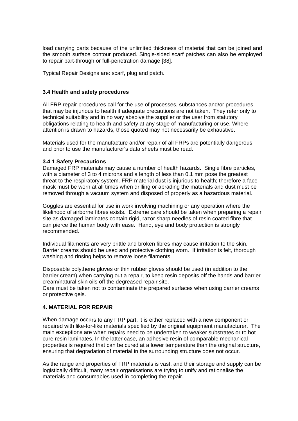load carrying parts because of the unlimited thickness of material that can be joined and the smooth surface contour produced. Single-sided scarf patches can also be employed to repair part-through or full-penetration damage [38].

Typical Repair Designs are: scarf, plug and patch.

#### **3.4 Health and safety procedures**

All FRP repair procedures call for the use of processes, substances and/or procedures that may be injurious to health if adequate precautions are not taken. They refer only to technical suitability and in no way absolve the supplier or the user from statutory obligations relating to health and safety at any stage of manufacturing or use. Where attention is drawn to hazards, those quoted may not necessarily be exhaustive.

Materials used for the manufacture and/or repair of all FRPs are potentially dangerous and prior to use the manufacturer's data sheets must be read.

#### **.4 1 Safety Precautions 3**

with a diameter of 3 to 4 microns and a length of less than 0.1 mm pose the greatest threat to the respiratory system. FRP material dust is injurious to health; therefore a face mask must be worn at all times when drilling or abrading the materials and dust must be Damaged FRP materials may cause a number of health hazards. Single fibre particles, removed through a vacuum system and disposed of properly as a hazardous material.

likelihood of airborne fibres exists. Extreme care should be taken when preparing a repair can pierce the human body with ease. Hand, eye and body protection is strongly Goggles are essential for use in work involving machining or any operation where the site as damaged laminates contain rigid, razor sharp needles of resin coated fibre that recommended.

Barrier creams should be used and protective clothing worn. If irritation is felt, thorough washing and rinsing helps to remove loose filaments. Individual filaments are very brittle and broken fibres may cause irritation to the skin.

barrier cream) when carrying out a repair, to keep resin deposits off the hands and barrier Disposable polythene gloves or thin rubber gloves should be used (in addition to the cream/natural skin oils off the degreased repair site.

Care must be taken not to contaminate the prepared surfaces when using barrier creams or protective gels.

#### **4. MATERIAL FOR REPAIR**

When damage occurs to any FRP part, it is either replaced with a new component or repaired with like-for-like materials specified by the original equipment manufacturer. The main exceptions are when repairs need to be undertaken to weaker substrates or to hot cure resin laminates. In the latter case, an adhesive resin of comparable mechanical properties is required that can be cured at a lower temperature than the original structure, ensuring that degradation of material in the surrounding structure does not occur.

As the range and properties of FRP materials is vast, and their storage and supply can be logistically difficult, many repair organisations are trying to unify and rationalise the materials and consumables used in completing the repair.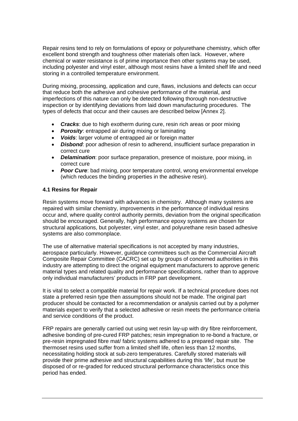Repair resins tend to rely on formulations of epoxy or polyurethane chemistry, which offer excellent bond strength and toughness other materials often lack. However, where chemical or water resistance is of prime importance then other systems may be used, including polyester and vinyl ester, although most resins have a limited shelf life and need storing in a controlled temperature environment.

During mixing, processing, application and cure, flaws, inclusions and defects can occur imperfections of this nature can only be detected following thorough non-destructive inspection or by identifying deviations from laid down manufacturing procedures. The that reduce both the adhesive and cohesive performance of the material, and types of defects that occur and their causes are described below [Annex 2].

- *Cracks*: due to high exotherm during cure, resin rich areas or poor mixing
- *Porosity*: entrapped air during mixing or laminating
- *Voids*: larger volume of entrapped air or foreign matter
- *Disbond*: poor adhesion of resin to adherend, insufficient surface preparation in correct cure
- **Delamination**: poor surface preparation, presence of moisture, poor mixing, in correct cure
- (which reduces the binding properties in the adhesive resin). • *Poor Cure: bad mixing, poor temperature control, wrong environmental envelope*

#### **4.1 Resins for Repair**

Resin systems move forward with advances in chemistry. Although many systems are repaired with similar chemistry, improvements in the performance of individual resins occur and, where quality control authority permits, deviation from the original specification should be encouraged. Generally, high performance epoxy systems are chosen for structural applications, but polyester, vinyl ester, and polyurethane resin based adhesive systems are also commonplace.

Composite Repair Committee (CACRC) set up by groups of concerned authorities in this industry are attempting to direct the original equipment manufacturers to approve generic material types and related quality and performance specifications, rather than to approve The use of alternative material specifications is not accepted by many industries, aerospace particularly. However, guidance committees such as the Commercial Aircraft only individual manufacturers' products in FRP part development.

producer should be contacted for a recommendation or analysis carried out by a polymer materials expert to verify that a selected adhesive or resin meets the performance criteria It is vital to select a compatible material for repair work. If a technical procedure does not state a preferred resin type then assumptions should not be made. The original part and service conditions of the product.

pre-resin impregnated fibre mat/ fabric systems adhered to a prepared repair site. The thermoset resins used suffer from a limited shelf life, often less than 12 months, FRP repairs are generally carried out using wet resin lay-up with dry fibre reinforcement, adhesive bonding of pre-cured FRP patches; resin impregnation to re-bond a fracture, or necessitating holding stock at sub-zero temperatures. Carefully stored materials will provide their prime adhesive and structural capabilities during this 'life', but must be disposed of or re-graded for reduced structural performance characteristics once this period has ended.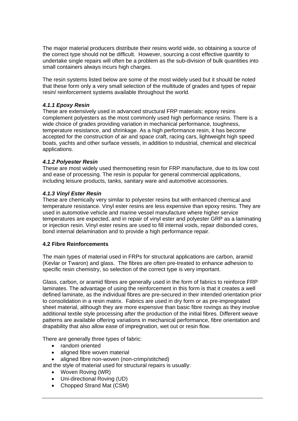The major material producers distribute their resins world wide, so obtaining a source o f the correct type sho uld not be difficult. However, sourcing a cost effective quantity to undertake single repairs will often be a problem as the sub-division of bulk quantities into small containers always incurs high charges.

that these form only a very small selection of the multitude of grades and types of repair resin/ reinforcement systems available throughout the world. The resin systems listed below are some of the most widely used but it should be noted

### *4.1.1 Epoxy Resin*

These are extensively used in advanced structural FRP materials; epoxy resins omplement polyesters as the most commonly used high performance resins. There is a c wide choice of grades providing variation in mechanical performance, toughness, temperature resistance, and shrinkage. As a high performance resin, it has become boats, yachts and other surface vessels, in addition to industrial, chemical and electrical accepted for the construction of air and space craft, racing cars, lightweight high speed applications.

## *4.1.2 Polyester Resin*

These are most widely used thermosetting resin for FRP manufacture, due to its low cost and ease of processing. The resin is popular for general commercial applications, including leisure products, tanks, sanitary ware and automotive accessories.

## *4.1.3 Vinyl Ester Resin*

These are chemically very similar to polyester resins but with enhanced chemical and temperature resistance. Vinyl ester resins are less expensive than epoxy resins. They are used in automotive vehicle and marine vessel manufacture where higher service temperatures are expected, and in repair of vinyl ester and polyester GRP as a laminating or injection resin. Vinyl ester resins are used to fill internal voids, repair disbonded cores, bond internal delamination and to provide a high performance repair.

#### **4.2 Fibre Reinforcements**

The main types of material used in FRPs for structural applications are carbon, aramid (Kevlar or Twaron) and glass. The fibres are often pre-treated to enhance adhesion to specific resin chemistry, so selection of the correct type is very important.

laminates. The advantage of using the reinforcement in this form is that it creates a well defined laminate, as the individual fibres are pre-secured in their intended orientation prior patterns are available offering variations in mechanical performance, fibre orientation and Glass, carbon, or aramid fibres are generally used in the form of fabrics to reinforce FRP to consolidation in a resin matrix. Fabrics are used in dry form or as pre-impregnated sheet material, although they are more expensive than basic fibre rovings as they involve additional textile style processing after the production of the initial fibres. Different weave drapability that also allow ease of impregnation, wet out or resin flow.

There are generally three types of fabric:

- random oriented
- aligned fibre woven material
- aligned fibre non-woven (non-crimp/stitched)

and the style of material used for structural repairs is usually:

- Woven Roving (WR)
- Uni-directional Roving (UD)
- Chopped Strand Mat (CSM)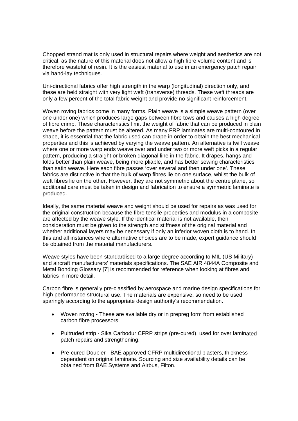Chopped strand mat is only used in structural repairs where weight and aesthetics are not critical, as the nature of this material does not allow a high fibre volume content and is therefore wasteful of resin. It is the easiest material to use in an emergency patch repair via hand-lay techniques.

these are held straight with very light weft (transverse) threads. These weft threads are only a few percent of the total fabric weight and provide no significant reinforcement. Uni-directional fabrics offer high strength in the warp (longitudinal) direction only, and

one under one) which produces large gaps between fibre tows and causes a high degree of fibre crimp. These characteristics limit the weight of fabric that can be produced in plain additional care must be taken in design and fabrication to ensure a symmetric laminate is Woven roving fabrics come in many forms. Plain weave is a simple weave pattern (over weave before the pattern must be altered. As many FRP laminates are multi-contoured in shape, it is essential that the fabric used can drape in order to obtain the best mechanical properties and this is achieved by varying the weave pattern. An alternative is twill weave, where one or more warp ends weave over and under two or more weft picks in a regular pattern, producing a straight or broken diagonal line in the fabric. It drapes, hangs and folds better than plain weave, being more pliable, and has better sewing characteristics than satin weave. Here each fibre passes 'over several and then under one'. These fabrics are distinctive in that the bulk of warp fibres lie on one surface, whilst the bulk of weft fibres lie on the other. However, they are not symmetric about the centre plane, so produced.

the original construction because the fibre tensile properties and modulus in a composite are affected by the weave style. If the identical material is not available, then this and all instances where alternative choices are to be made, expert guidance should Ideally, the same material weave and weight should be used for repairs as was used for consideration must be given to the strength and stiffness of the original material and whether additional layers may be necessary if only an inferior woven cloth is to hand. In be obtained from the material manufacturers.

and aircraft manufacturers' materials specifications. The SAE AIR 4844A Composite and Metal Bonding Glossary [7] is recommended for reference when looking at fibres and Weave styles have been standardised to a large degree according to MIL (US Military) fabrics in more detail.

Carbon fibre is generally pre-classified by aerospace and marine design specifications for high performance structural use. The materials are expensive, so need to be used sparingly according to the appropriate design authority's recommendation.

- Woven roving These are available dry or in prepreg form from established carbon fibre processors.
- Pultruded strip Sika Carbodur CFRP strips (pre-cured), used for over laminated patch repairs and strengthening.
- dependent on original laminate. Sourcing and size availability details can be obtained from BAE Systems and Airbus, Filton. • Pre-cured Doubler - BAE approved CFRP multidirectional plasters, thickness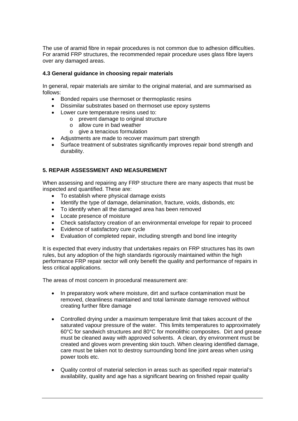The use of aramid fibre in repair procedures is not common due to adhesion difficulties. For aramid FRP structures, the recommended repair procedure uses glass fibre layers over any damaged areas.

#### **.3 General guidance in choosing repair materials 4**

In general, repair materials are similar to the original material, and are summarised as follows:

- Bonded repairs use thermoset or thermoplastic resins
- Dissimilar substrates based on thermoset use epoxy systems
- Lower cure temperature resins used to:
	- $\circ$  prevent damage to original structure
		- o allow cure in bad weather
		- $\circ$  give a tenacious formulation
- Adjustments are made to recover maximum part strength
- Surface treatment of substrates significantly improves repair bond strength and durability.

## **5. REPAIR ASSESSMENT AND MEASUREMENT**

When assessing and repairing any FRP structure there are many aspects that must be inspected and quantified. These are:

- To establish where physical damage exists
- Identify the type of damage, delamination, fracture, voids, disbonds, etc
- To identify when all the damaged area has been removed
- Locate presence of moisture
- Check satisfactory creation of an environmental envelope for repair to proceed
- Evidence of satisfactory cure cycle
- Evaluation of completed repair, including strength and bond line integrity

It is expected that every industry that undertakes repairs on FRP structures has its own performance FRP repair sector will only benefit the quality and performance of repairs in rules, but any adoption of the high standards rigorously maintained within the high less critical applications.

The areas of most concern in procedural measurement are:

- In preparatory work where moisture, dirt and surface contamination must be removed, cleanliness maintained and total laminate damage removed without creating further fibre damage
- Controlled drying under a maximum temperature limit that takes account of the saturated vapour pressure of the water. This limits temperatures to approximately 60°C for sandwich structures and 80°C for monolithic composites. Dirt and grease must be cleaned away with approved solvents. A clean, dry environment must be created and gloves worn preventing skin touch. When clearing identified damage, care must be taken not to destroy surrounding bond line joint areas when using power tools etc.
- Quality control of material selection in areas such as specified repair material's availability, quality and age has a significant bearing on finished repair quality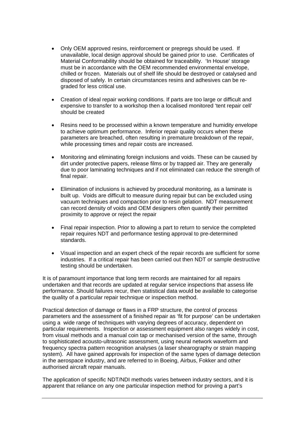- Only OEM approved resins, reinforcement or prepregs should be used. If unavailable, local design approval should be gained prior to use. Certificates of Material Conformability should be obtained for traceability. 'In House' storage must be in accordance with the OEM recommended environmental envelope, chilled or frozen. Materials out of shelf life should be destroyed or catalysed and disposed of safely. In certain circumstances resins and adhesives can be regraded for less critical use.
- Creation of ideal repair working conditions. If parts are too large or difficult and expensive to transfer to a workshop then a localised monitored 'tent repair cell' should be created
- Resins need to be processed within a known temperature and humidity envelope to achieve optimum performance. Inferior repair quality occurs when these parameters are breached, often resulting in premature breakdown of the repair, while processing times and repair costs are increased.
- Monitoring and eliminating foreign inclusions and voids. These can be caused by dirt under protective papers, release films or by trapped air. They are generally due to poor laminating techniques and if not eliminated can reduce the strength of final repair.
- Elimination of inclusions is achieved by procedural monitoring, as a laminate is built up. Voids are difficult to measure during repair but can be excluded using vacuum techniques and compaction prior to resin gelation. NDT measurement can record density of voids and OEM designers often quantify their permitted proximity to approve or reject the repair
- Final repair inspection. Prior to allowing a part to return to service the completed repair requires NDT and performance testing approval to pre-determined standards.
- Visual inspection and an expert check of the repair records are sufficient for some industries. If a critical repair has been carried out then NDT or sample destructive testing should be undertaken.

It is of paramount importance that long term records are maintained for all repairs undertaken and that records are updated at regular service inspections that assess life performance. Should failures recur, then statistical data would be available to categorise the quality of a particular repair technique or inspection method.

Practical detection of damage or flaws in a FRP structure, the control of process parameters and the assessment of a finished repair as 'fit for purpose' can be undertaken using a wide range of techniques with varying degrees of accuracy, dependent on particular requirements. Inspection or assessment equipment also ranges widely in cost, from visual methods and a manual coin tap or mechanised version of the same, through to sophisticated acousto-ultrasonic assessment, using neural network waveform and frequency spectra pattern recognition analyses (a laser shearography or strain mapping system). All have gained approvals for inspection of the same types of damage detection in the aerospace industry, and are referred to in Boeing, Airbus, Fokker and other authorised aircraft repair manuals.

The application of specific NDT/NDI methods varies between industry sectors, and it is apparent that reliance on any one particular inspection method for proving a part's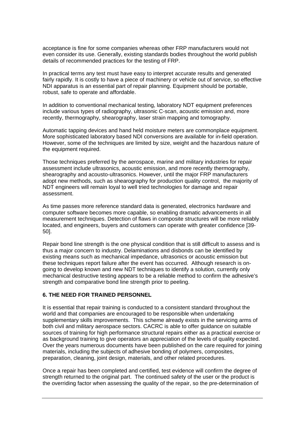acceptance is fine for some companies whereas other FRP manufacturers would not even consider its use. Generally, existing standards bodies throughout the world publish details of recommended practices for the testing of FRP.

In practical terms any test must have easy to interpret accurate results and generated fairly rapidly. It is costly to have a piece of machinery or vehicle out of service, so effective NDI apparatus is an essential part of repair planning. Equipment should be portable, robust, safe to operate and affordable.

In addition to conventional mechanical testing, laboratory NDT equipment preferences include various types of radiography, ultrasonic C-scan, acoustic emission and, more recently, thermography, shearography, laser strain mapping and tomography.

Automatic tapping devices and hand held moisture meters are commonplace equipment. More sophisticated laboratory based NDI conversions are available for in-field operation. However, some of the techniques are limited by size, weight and the hazardous nature of the equipment required.

Those techniques preferred by the aerospace, marine and military industries for repair assessment include ultrasonics, acoustic emission, and more recently thermography, shearography and acousto-ultrasonics. However, until the major FRP manufacturers adopt new methods, such as shearography for production quality control, the majority of NDT engineers will remain loyal to well tried technologies for damage and repair assessment.

As time passes more reference standard data is generated, electronics hardware and computer software becomes more capable, so enabling dramatic advancements in all measurement techniques. Detection of flaws in composite structures will be more reliably located, and engineers, buyers and customers can operate with greater confidence [39- 50].

Repair bond line strength is the one physical condition that is still difficult to assess and is thus a major concern to industry. Delaminations and disbonds can be identified by existing means such as mechanical impedance, ultrasonics or acoustic emission but these techniques report failure after the event has occurred. Although research is ongoing to develop known and new NDT techniques to identify a solution, currently only mechanical destructive testing appears to be a reliable method to confirm the adhesive's strength and comparative bond line strength prior to peeling.

#### **6. THE NEED FOR TRAINED PERSONNEL**

It is essential that repair training is conducted to a consistent standard throughout the world and that companies are encouraged to be responsible when undertaking supplementary skills improvements. This scheme already exists in the servicing arms of both civil and military aerospace sectors. CACRC is able to offer guidance on suitable sources of training for high performance structural repairs either as a practical exercise or as background training to give operators an appreciation of the levels of quality expected. Over the years numerous documents have been published on the care required for joining materials, including the subjects of adhesive bonding of polymers, composites, preparation, cleaning, joint design, materials, and other related procedures.

Once a repair has been completed and certified, test evidence will confirm the degree of strength returned to the original part. The continued safety of the user or the product is the overriding factor when assessing the quality of the repair, so the pre-determination of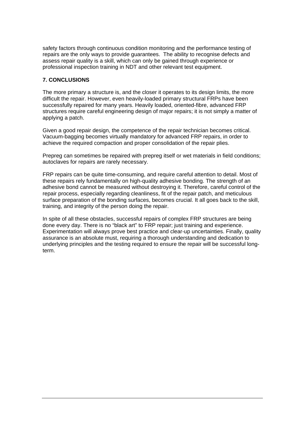safety factors through continuous condition monitoring and the performance testing of repairs are the only ways to provide guarantees. The ability to recognise defects and assess repair quality is a skill, which can only be gained through experience or professional inspection training in NDT and other relevant test equipment.

#### **7. CONCLUSIONS**

The more primary a structure is, and the closer it operates to its design limits, the more difficult the repair. However, even heavily-loaded primary structural FRPs have been successfully repaired for many years. Heavily loaded, oriented-fibre, advanced FRP structures require careful engineering design of major repairs; it is not simply a matter of applying a patch.

Given a good repair design, the competence of the repair technician becomes critical. Vacuum-bagging becomes virtually mandatory for advanced FRP repairs, in order to achieve the required compaction and proper consolidation of the repair plies.

Prepreg can sometimes be repaired with prepreg itself or wet materials in field conditions; autoclaves for repairs are rarely necessary.

FRP repairs can be quite time-consuming, and require careful attention to detail. Most of these repairs rely fundamentally on high-quality adhesive bonding. The strength of an adhesive bond cannot be measured without destroying it. Therefore, careful control of the repair process, especially regarding cleanliness, fit of the repair patch, and meticulous surface preparation of the bonding surfaces, becomes crucial. It all goes back to the skill, training, and integrity of the person doing the repair.

In spite of all these obstacles, successful repairs of complex FRP structures are being done every day. There is no "black art" to FRP repair; just training and experience. Experimentation will always prove best practice and clear-up uncertainties. Finally, quality assurance is an absolute must, requiring a thorough understanding and dedication to underlying principles and the testing required to ensure the repair will be successful longterm.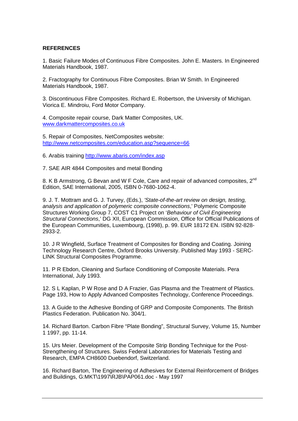#### **REFERENCES**

1. Basic Failure Modes of Continuous Fibre Composites. John E. Masters. In Engineered Materials Handbook, 1987.

2. Fractography for Continuous Fibre Composites. Brian W Smith. In Engineered Materials Handbook, 1987.

3. Discontinuous Fibre Composites. Richard E. Robertson, the University of Michigan. Viorica E. Mindroiu, Ford Motor Company.

4. Composite repair course, Dark Matter Composites, UK. [www.darkmattercomposites.co.uk](http://www.darkmattercomposites.co.uk/)

5. Repair of Composites, NetComposites website: <http://www.netcomposites.com/education.asp?sequence=66>

6. Arabis training <http://www.abaris.com/index.asp>

7. SAE AIR 4844 Composites and metal Bonding

8. K B Armstrong, G Bevan and W F Cole, Care and repair of advanced composites, 2<sup>nd</sup> Edition, SAE International, 2005, ISBN 0-7680-1062-4.

9. J. T. Mottram and G. J. Turvey, (Eds.), *'State-of-the-art review on design, testing, analysis and application of polymeric composite connections*,' Polymeric Composite Structures Working Group 7, COST C1 Project on '*Behaviour of Civil Engineering Structural Connections*,' DG XII, European Commission, Office for Official Publications of the European Communities, Luxembourg, (1998), p. 99. EUR 18172 EN. ISBN 92-828- 2933-2.

10. J R Wingfield, Surface Treatment of Composites for Bonding and Coating. Joining Technology Research Centre, Oxford Brooks University. Published May 1993 - SERC-LINK Structural Composites Programme.

11. P R Ebdon, Cleaning and Surface Conditioning of Composite Materials. Pera International, July 1993.

12. S L Kaplan, P W Rose and D A Frazier, Gas Plasma and the Treatment of Plastics. Page 193, How to Apply Advanced Composites Technology, Conference Proceedings.

13. A Guide to the Adhesive Bonding of GRP and Composite Components. The British Plastics Federation. Publication No. 304/1.

14. Richard Barton. Carbon Fibre "Plate Bonding", Structural Survey, Volume 15, Number 1 1997, pp. 11-14.

15. Urs Meier. Development of the Composite Strip Bonding Technique for the Post-Strengthening of Structures. Swiss Federal Laboratories for Materials Testing and Research, EMPA CH8600 Duebendorf, Switzerland.

16. Richard Barton, The Engineering of Adhesives for External Reinforcement of Bridges and Buildings, G:MKT\1997\RJB\PAP061.doc - May 1997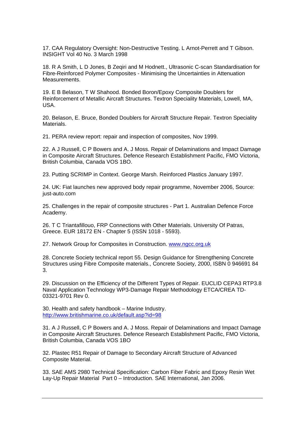17. CAA Regulatory Oversight: Non-Destructive Testing. L Arnot-Perrett and T Gibson. INSIGHT Vol 40 No. 3 March 1998

18. R A Smith, L D Jones, B Zeqiri and M Hodnett., Ultrasonic C-scan Standardisation for Fibre-Reinforced Polymer Composites - Minimising the Uncertainties in Attenuation Measurements.

19. E B Belason, T W Shahood. Bonded Boron/Epoxy Composite Doublers for Reinforcement of Metallic Aircraft Structures. Textron Speciality Materials, Lowell, MA, USA.

20. Belason, E. Bruce, Bonded Doublers for Aircraft Structure Repair. Textron Speciality Materials.

21. PERA review report: repair and inspection of composites, Nov 1999.

22. A J Russell, C P Bowers and A. J Moss. Repair of Delaminations and Impact Damage in Composite Aircraft Structures. Defence Research Establishment Pacific, FMO Victoria, British Columbia, Canada VOS 1BO.

23. Putting SCRIMP in Context. George Marsh. Reinforced Plastics January 1997.

24. UK: Fiat launches new approved body repair programme, November 2006, Source: just-auto.com

25. Challenges in the repair of composite structures - Part 1. Australian Defence Force Academy.

26. T C Triantafillouo, FRP Connections with Other Materials. University Of Patras, Greece. EUR 18172 EN - Chapter 5 (ISSN 1018 - 5593).

27. Network Group for Composites in Construction. www.ngcc.org.uk

28. Concrete Society technical report 55. Design Guidance for Strengthening Concrete Structures using Fibre Composite materials., Concrete Society, 2000, ISBN 0 946691 84 3.

29. Discussion on the Efficiency of the Different Types of Repair. EUCLID CEPA3 RTP3.8 Naval Application Technology WP3-Damage Repair Methodology ETCA/CREA TD-03321-9701 Rev 0.

30. Health and safety handbook – Marine Industry. <http://www.britishmarine.co.uk/default.asp?id=98>

31. A J Russell, C P Bowers and A. J Moss. Repair of Delaminations and Impact Damage in Composite Aircraft Structures. Defence Research Establishment Pacific, FMO Victoria, British Columbia, Canada VOS 1BO

32. Plastec R51 Repair of Damage to Secondary Aircraft Structure of Advanced Composite Material.

33. SAE AMS 2980 Technical Specification: Carbon Fiber Fabric and Epoxy Resin Wet Lay-Up Repair Material Part 0 – Introduction. SAE International, Jan 2006.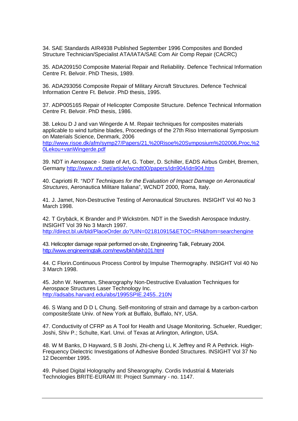34. SAE Standards AIR4938 Published September 1996 Composites and Bonded Structure Technician/Specialist ATA/IATA/SAE Com Air Comp Repair (CACRC)

35. ADA209150 Composite Material Repair and Reliability. Defence Technical Information Centre Ft. Belvoir. PhD Thesis, 1989.

36. ADA293056 Composite Repair of Military Aircraft Structures. Defence Technical Information Centre Ft. Belvoir. PhD thesis, 1995.

37. ADP005165 Repair of Helicopter Composite Structure. Defence Technical Information Centre Ft. Belvoir. PhD thesis, 1986.

38. Lekou D J and van Wingerde A M. Repair techniques for composites materials applicable to wind turbine blades, Proceedings of the 27th Riso International Symposium on Materials Science, Denmark, 2006 [http://www.risoe.dk/afm/symp27/Papers/21,%20Risoe%20Symposium%202006,Proc,%2](http://www.risoe.dk/afm/symp27/Papers/21,%20Risoe%20Symposium%202006,Proc,%20Lekou+vanWingerde.pdf) [0Lekou+vanWingerde.pdf](http://www.risoe.dk/afm/symp27/Papers/21,%20Risoe%20Symposium%202006,Proc,%20Lekou+vanWingerde.pdf) 

39. NDT in Aerospace - State of Art, G. Tober, D. Schiller, EADS Airbus GmbH, Bremen, Germany<http://www.ndt.net/article/wcndt00/papers/idn904/idn904.htm>

40. Capriotti R. "*NDT Techniques for the Evaluation of Impact Damage on Aeronautical Structures*, Aeronautica Militare Italiana", WCNDT 2000, Roma, Italy.

41. J. Jamet, Non-Destructive Testing of Aeronautical Structures. INSIGHT Vol 40 No 3 March 1998.

42. T Grybäck, K Brander and P Wickström. NDT in the Swedish Aerospace Industry. INSIGHT Vol 39 No 3 March 1997. <http://direct.bl.uk/bld/PlaceOrder.do?UIN=021810915&ETOC=RN&from=searchengine>

43. Helicopter damage repair performed on-site, Engineering Talk, February 2004. <http://www.engineeringtalk.com/news/bkh/bkh101.html>

44. C Florin.Continuous Process Control by Impulse Thermography. INSIGHT Vol 40 No 3 March 1998.

45. John W. Newman, Shearography Non-Destructive Evaluation Techniques for Aerospace Structures Laser Technology Inc. <http://adsabs.harvard.edu/abs/1995SPIE.2455..210N>

46. S Wang and D D L Chung. Self-monitoring of strain and damage by a carbon-carbon compositeState Univ. of New York at Buffalo, Buffalo, NY, USA.

47. Conductivity of CFRP as A Tool for Health and Usage Monitoring. Schueler, Ruediger; Joshi, Shiv P.; Schulte, Karl. Unvi. of Texas at Arlington, Arlington, USA.

48. W M Banks, D Hayward, S B Joshi, Zhi-cheng Li, K Jeffrey and R A Pethrick. High-Frequency Dielectric Investigations of Adhesive Bonded Structures. INSIGHT Vol 37 No 12 December 1995.

49. Pulsed Digital Holography and Shearography. Cordis Industrial & Materials Technologies BRITE-EURAM III: Project Summary - no. 1147.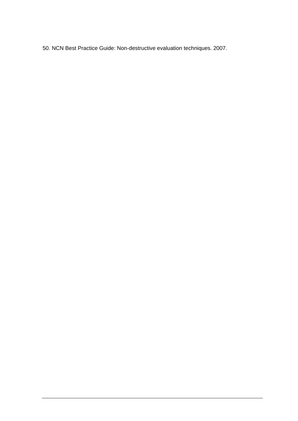50. NCN Best Practice Guide: Non-destructive evaluation techniques. 2007.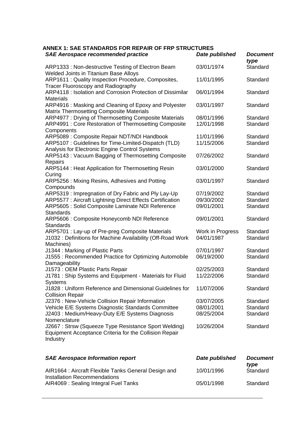**ANNEX 1: SAE STANDARDS FOR REPAIR OF FRP STRUCTURES** 

| <b>SAE Aerospace recommended practice</b>                                                                                  | Date published   | <b>Document</b><br>type |
|----------------------------------------------------------------------------------------------------------------------------|------------------|-------------------------|
| ARP1333: Non-destructive Testing of Electron Beam<br><b>Welded Joints in Titanium Base Alloys</b>                          | 03/01/1974       | Standard                |
| ARP1611 : Quality Inspection Procedure, Composites,<br><b>Tracer Fluoroscopy and Radiography</b>                           | 11/01/1995       | Standard                |
| ARP4118 : Isolation and Corrosion Protection of Dissimilar<br><b>Materials</b>                                             | 06/01/1994       | Standard                |
| ARP4916 : Masking and Cleaning of Epoxy and Polyester<br><b>Matrix Thermosetting Composite Materials</b>                   | 03/01/1997       | Standard                |
| ARP4977: Drying of Thermosetting Composite Materials                                                                       | 08/01/1996       | Standard                |
| ARP4991 : Core Restoration of Thermosetting Composite<br>Components                                                        | 12/01/1998       | Standard                |
| ARP5089 : Composite Repair NDT/NDI Handbook                                                                                | 11/01/1996       | Standard                |
| ARP5107 : Guidelines for Time-Limited-Dispatch (TLD)<br>Analysis for Electronic Engine Control Systems                     | 11/15/2006       | Standard                |
| ARP5143 : Vacuum Bagging of Thermosetting Composite<br>Repairs                                                             | 07/26/2002       | Standard                |
| ARP5144 : Heat Application for Thermosetting Resin                                                                         | 03/01/2000       | Standard                |
| Curing<br>ARP5256: Mixing Resins, Adhesives and Potting                                                                    | 03/01/1997       | Standard                |
| Compounds<br>ARP5319: Impregnation of Dry Fabric and Ply Lay-Up                                                            | 07/19/2002       | Standard                |
| <b>ARP5577: Aircraft Lightning Direct Effects Certification</b>                                                            | 09/30/2002       | Standard                |
| ARP5605 : Solid Composite Laminate NDI Reference<br><b>Standards</b>                                                       | 09/01/2001       | Standard                |
| ARP5606 : Composite Honeycomb NDI Reference<br><b>Standards</b>                                                            | 09/01/2001       | Standard                |
| ARP5701 : Lay-up of Pre-preg Composite Materials                                                                           | Work in Progress | Standard                |
| J1032 : Definitions for Machine Availability (Off-Road Work<br>Machines)                                                   | 04/01/1987       | Standard                |
| J1344 : Marking of Plastic Parts                                                                                           | 07/01/1997       | Standard                |
| J1555: Recommended Practice for Optimizing Automobile<br>Damageability                                                     | 06/19/2000       | Standard                |
| J1573 : OEM Plastic Parts Repair                                                                                           | 02/25/2003       | Standard                |
| J1781 : Ship Systems and Equipment - Materials for Fluid<br><b>Systems</b>                                                 | 11/22/2006       | Standard                |
| J1828 : Uniform Reference and Dimensional Guidelines for<br><b>Collision Repair</b>                                        | 11/07/2006       | Standard                |
| J2376 : New-Vehicle Collision Repair Information                                                                           | 03/07/2005       | Standard                |
| Vehicle E/E Systems Diagnostic Standards Committee                                                                         | 08/01/2001       | Standard                |
| J2403: Medium/Heavy-Duty E/E Systems Diagnosis<br>Nomenclature                                                             | 08/25/2004       | Standard                |
| J2667: Strsw (Squeeze Type Resistance Sport Welding)<br>Equipment Acceptance Criteria for the Collision Repair<br>Industry | 10/26/2004       | Standard                |
|                                                                                                                            |                  |                         |

| <b>SAE Aerospace Information report</b>                                              | Date published | <b>Document</b><br>tvpe |
|--------------------------------------------------------------------------------------|----------------|-------------------------|
| AIR1664 : Aircraft Flexible Tanks General Design and<br>Installation Recommendations | 10/01/1996     | Standard                |
| AIR4069 : Sealing Integral Fuel Tanks                                                | 05/01/1998     | Standard                |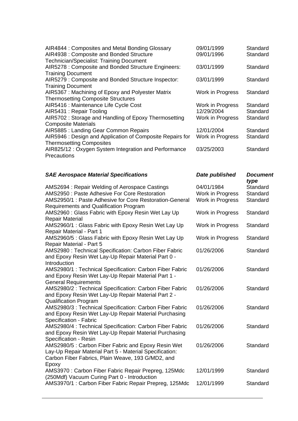| <b>SAE Aerospace Material Specifications</b>                         | Date published   | <b>Document</b><br>type |
|----------------------------------------------------------------------|------------------|-------------------------|
|                                                                      |                  |                         |
| AIR825/12 : Oxygen System Integration and Performance<br>Precautions | 03/25/2003       | Standard                |
| <b>Thermosetting Composites</b>                                      |                  |                         |
| AIR5946 : Design and Application of Composite Repairs for            | Work in Progress | Standard                |
| <b>Composite Materials</b><br>AIR5885: Landing Gear Common Repairs   | 12/01/2004       | Standard                |
| AIR5702: Storage and Handling of Epoxy Thermosetting                 | Work in Progress | Standard                |
| AIR5431: Repair Tooling                                              | 12/29/2004       | Standard                |
| AIR5416 : Maintenance Life Cycle Cost                                | Work in Progress | Standard                |
| <b>Thermosetting Composite Structures</b>                            |                  |                         |
| AIR5367: Machining of Epoxy and Polyester Matrix                     | Work in Progress | Standard                |
| <b>Training Document</b>                                             |                  |                         |
| AIR5279 : Composite and Bonded Structure Inspector:                  | 03/01/1999       | Standard                |
| <b>Training Document</b>                                             |                  |                         |
| AIR5278 : Composite and Bonded Structure Engineers:                  | 03/01/1999       | Standard                |
| Technician/Specialist: Training Document                             |                  |                         |
| AIR4938: Composite and Bonded Structure                              | 09/01/1996       | Standard                |
| AIR4844 : Composites and Metal Bonding Glossary                      | 09/01/1999       | Standard                |

| AMS2694: Repair Welding of Aerospace Castings                                                         | 04/01/1984       | Standard |
|-------------------------------------------------------------------------------------------------------|------------------|----------|
| AMS2950 : Paste Adhesive For Core Restoration                                                         | Work in Progress | Standard |
| AMS2950/1 : Paste Adhesive for Core Restoration-General                                               | Work in Progress | Standard |
| <b>Requirements and Qualification Program</b>                                                         |                  |          |
| AMS2960: Glass Fabric with Epoxy Resin Wet Lay Up                                                     | Work in Progress | Standard |
| <b>Repair Material</b>                                                                                |                  |          |
| AMS2960/1 : Glass Fabric with Epoxy Resin Wet Lay Up                                                  | Work in Progress | Standard |
| <b>Repair Material - Part 1</b>                                                                       |                  |          |
| AMS2960/5 : Glass Fabric with Epoxy Resin Wet Lay Up                                                  | Work in Progress | Standard |
| <b>Repair Material - Part 5</b>                                                                       |                  |          |
| AMS2980 : Technical Specification: Carbon Fiber Fabric                                                | 01/26/2006       | Standard |
| and Epoxy Resin Wet Lay-Up Repair Material Part 0 -                                                   |                  |          |
| Introduction                                                                                          |                  |          |
| AMS2980/1 : Technical Specification: Carbon Fiber Fabric                                              | 01/26/2006       | Standard |
| and Epoxy Resin Wet Lay-Up Repair Material Part 1 -                                                   |                  |          |
| <b>General Requirements</b>                                                                           |                  |          |
| AMS2980/2 : Technical Specification: Carbon Fiber Fabric                                              | 01/26/2006       | Standard |
| and Epoxy Resin Wet Lay-Up Repair Material Part 2 -                                                   |                  |          |
| <b>Qualification Program</b>                                                                          |                  |          |
| AMS2980/3 : Technical Specification: Carbon Fiber Fabric                                              | 01/26/2006       | Standard |
| and Epoxy Resin Wet Lay-Up Repair Material Purchasing                                                 |                  |          |
| Specification - Fabric                                                                                |                  |          |
| AMS2980/4 : Technical Specification: Carbon Fiber Fabric                                              | 01/26/2006       | Standard |
| and Epoxy Resin Wet Lay-Up Repair Material Purchasing                                                 |                  |          |
| Specification - Resin                                                                                 |                  |          |
| AMS2980/5: Carbon Fiber Fabric and Epoxy Resin Wet                                                    | 01/26/2006       | Standard |
| Lay-Up Repair Material Part 5 - Material Specification:                                               |                  |          |
| Carbon Fiber Fabrics, Plain Weave, 193 G/MD2, and                                                     |                  |          |
| Epoxy                                                                                                 |                  |          |
| AMS3970 : Carbon Fiber Fabric Repair Prepreg, 125Mdc                                                  | 12/01/1999       | Standard |
| (250Mdf) Vacuum Curing Part 0 - Introduction<br>AMS3970/1: Carbon Fiber Fabric Repair Prepreg, 125Mdc | 12/01/1999       | Standard |
|                                                                                                       |                  |          |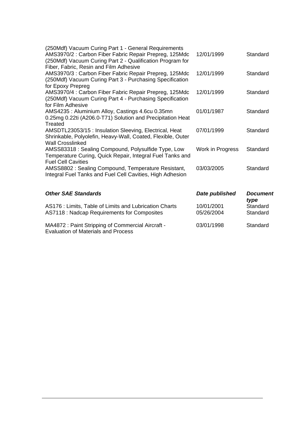| (250Mdf) Vacuum Curing Part 1 - General Requirements<br>AMS3970/2: Carbon Fiber Fabric Repair Prepreg, 125Mdc<br>(250Mdf) Vacuum Curing Part 2 - Qualification Program for        | 12/01/1999               | Standard                |
|-----------------------------------------------------------------------------------------------------------------------------------------------------------------------------------|--------------------------|-------------------------|
| Fiber, Fabric, Resin and Film Adhesive<br>AMS3970/3 : Carbon Fiber Fabric Repair Prepreg, 125Mdc<br>(250Mdf) Vacuum Curing Part 3 - Purchasing Specification<br>for Epoxy Prepreg | 12/01/1999               | Standard                |
| AMS3970/4 : Carbon Fiber Fabric Repair Prepreg, 125Mdc<br>(250Mdf) Vacuum Curing Part 4 - Purchasing Specification<br>for Film Adhesive                                           | 12/01/1999               | Standard                |
| AMS4235: Aluminium Alloy, Castings 4.6cu 0.35mn<br>0.25mg 0.22ti (A206.0-T71) Solution and Precipitation Heat<br>Treated                                                          | 01/01/1987               | Standard                |
| AMSDTL23053/15 : Insulation Sleeving, Electrical, Heat<br>Shrinkable, Polyolefin, Heavy-Wall, Coated, Flexible, Outer<br><b>Wall Crosslinked</b>                                  | 07/01/1999               | Standard                |
| AMSS83318: Sealing Compound, Polysulfide Type, Low<br>Temperature Curing, Quick Repair, Integral Fuel Tanks and<br><b>Fuel Cell Cavities</b>                                      | Work in Progress         | Standard                |
| AMSS8802: Sealing Compound, Temperature Resistant,<br>Integral Fuel Tanks and Fuel Cell Cavities, High Adhesion                                                                   | 03/03/2005               | Standard                |
| <b>Other SAE Standards</b>                                                                                                                                                        | Date published           | <b>Document</b><br>type |
| AS176 : Limits, Table of Limits and Lubrication Charts<br>AS7118 : Nadcap Requirements for Composites                                                                             | 10/01/2001<br>05/26/2004 | Standard<br>Standard    |

[MA4872 : Paint Stripping of Commercial Aircraft -](http://www.sae.org/technical/standards/MA4872)  [Evaluation of Materials and Process](http://www.sae.org/technical/standards/MA4872)  03/01/1998 Standard